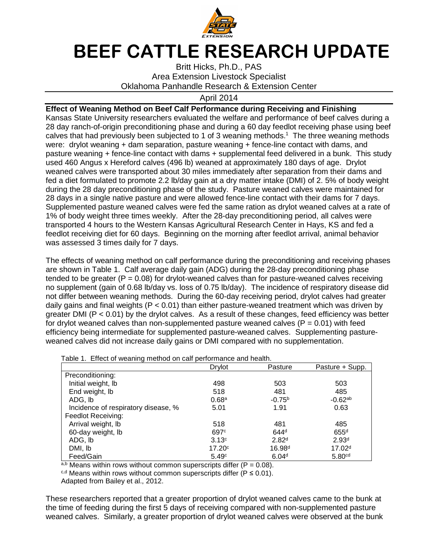

## **BEEF CATTLE RESEARCH UPDATE**

Britt Hicks, Ph.D., PAS Area Extension Livestock Specialist Oklahoma Panhandle Research & Extension Center

## April 2014

**Effect of Weaning Method on Beef Calf Performance during Receiving and Finishing**  Kansas State University researchers evaluated the welfare and performance of beef calves during a 28 day ranch-of-origin preconditioning phase and during a 60 day feedlot receiving phase using beef calves that had previously been subjected to 1 of 3 weaning methods.<sup>1</sup> The three weaning methods were: drylot weaning + dam separation, pasture weaning + fence-line contact with dams, and pasture weaning + fence-line contact with dams + supplemental feed delivered in a bunk. This study used 460 Angus x Hereford calves (496 lb) weaned at approximately 180 days of age. Drylot weaned calves were transported about 30 miles immediately after separation from their dams and fed a diet formulated to promote 2.2 lb/day gain at a dry matter intake (DMI) of 2. 5% of body weight during the 28 day preconditioning phase of the study. Pasture weaned calves were maintained for 28 days in a single native pasture and were allowed fence-line contact with their dams for 7 days. Supplemented pasture weaned calves were fed the same ration as drylot weaned calves at a rate of 1% of body weight three times weekly. After the 28-day preconditioning period, all calves were transported 4 hours to the Western Kansas Agricultural Research Center in Hays, KS and fed a feedlot receiving diet for 60 days. Beginning on the morning after feedlot arrival, animal behavior was assessed 3 times daily for 7 days.

The effects of weaning method on calf performance during the preconditioning and receiving phases are shown in Table 1. Calf average daily gain (ADG) during the 28-day preconditioning phase tended to be greater  $(P = 0.08)$  for drylot-weaned calves than for pasture-weaned calves receiving no supplement (gain of 0.68 lb/day vs. loss of 0.75 lb/day). The incidence of respiratory disease did not differ between weaning methods. During the 60-day receiving period, drylot calves had greater daily gains and final weights ( $P < 0.01$ ) than either pasture-weaned treatment which was driven by greater DMI (P < 0.01) by the drylot calves. As a result of these changes, feed efficiency was better for drylot weaned calves than non-supplemented pasture weaned calves  $(P = 0.01)$  with feed efficiency being intermediate for supplemented pasture-weaned calves. Supplementing pastureweaned calves did not increase daily gains or DMI compared with no supplementation.

Table 1. Effect of weaning method on calf performance and health.

|                                     | Drylot             | Pasture            | Pasture + Supp.    |
|-------------------------------------|--------------------|--------------------|--------------------|
| Preconditioning:                    |                    |                    |                    |
| Initial weight, lb                  | 498                | 503                | 503                |
| End weight, Ib                      | 518                | 481                | 485                |
| ADG, lb                             | 0.68 <sup>a</sup>  | $-0.75^{b}$        | $-0.62^{ab}$       |
| Incidence of respiratory disease, % | 5.01               | 1.91               | 0.63               |
| Feedlot Receiving:                  |                    |                    |                    |
| Arrival weight, lb                  | 518                | 481                | 485                |
| 60-day weight, lb                   | 697 <sup>c</sup>   | 644 <sup>d</sup>   | 655 <sup>d</sup>   |
| ADG, lb                             | 3.13 <sup>c</sup>  | 2.82 <sup>d</sup>  | 2.93 <sup>d</sup>  |
| DMI, lb                             | 17.20 <sup>c</sup> | 16.98 <sup>d</sup> | 17.02 <sup>d</sup> |
| Feed/Gain                           | 5.49c              | 6.04 <sup>d</sup>  | 5.80 <sup>cd</sup> |

a,b Means within rows without common superscripts differ ( $P = 0.08$ ).

 $c,d$  Means within rows without common superscripts differ (P  $\leq$  0.01).

Adapted from Bailey et al., 2012.

These researchers reported that a greater proportion of drylot weaned calves came to the bunk at the time of feeding during the first 5 days of receiving compared with non-supplemented pasture weaned calves. Similarly, a greater proportion of drylot weaned calves were observed at the bunk